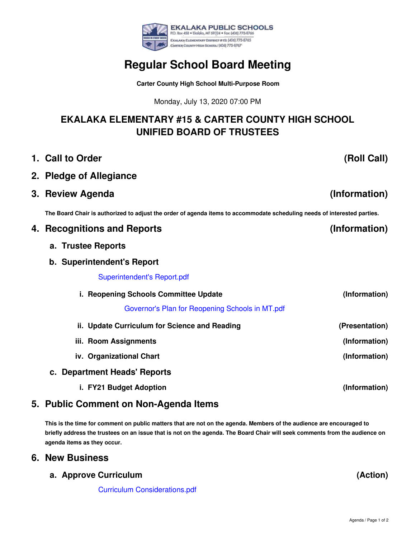

# **Regular School Board Meeting**

**Carter County High School Multi-Purpose Room**

Monday, July 13, 2020 07:00 PM

# **EKALAKA ELEMENTARY #15 & CARTER COUNTY HIGH SCHOOL UNIFIED BOARD OF TRUSTEES**

- **1. Call to Order**
- **2. Pledge of Allegiance**
- **3. Review Agenda**

The Board Chair is authorized to adjust the order of agenda items to accommodate scheduling needs of interested parties.

| 4. Recognitions and Reports                     | (Information)  |
|-------------------------------------------------|----------------|
| a. Trustee Reports                              |                |
| b. Superintendent's Report                      |                |
| <b>Superintendent's Report.pdf</b>              |                |
| i. Reopening Schools Committee Update           | (Information)  |
| Governor's Plan for Reopening Schools in MT.pdf |                |
| ii. Update Curriculum for Science and Reading   | (Presentation) |
| iii. Room Assignments                           | (Information)  |
| iv. Organizational Chart                        | (Information)  |
| c. Department Heads' Reports                    |                |
| i. FY21 Budget Adoption                         | (Information)  |

## **5. Public Comment on Non-Agenda Items**

This is the time for comment on public matters that are not on the agenda. Members of the audience are encouraged to briefly address the trustees on an issue that is not on the agenda. The Board Chair will seek comments from the audience on **agenda items as they occur.**

#### **6. New Business**

**a. Approve Curriculum**

Curriculum [Considerations.pdf](https://app.eduportal.com/documents/view/760499)

**(Action)**

**(Roll Call)**

**(Information)**